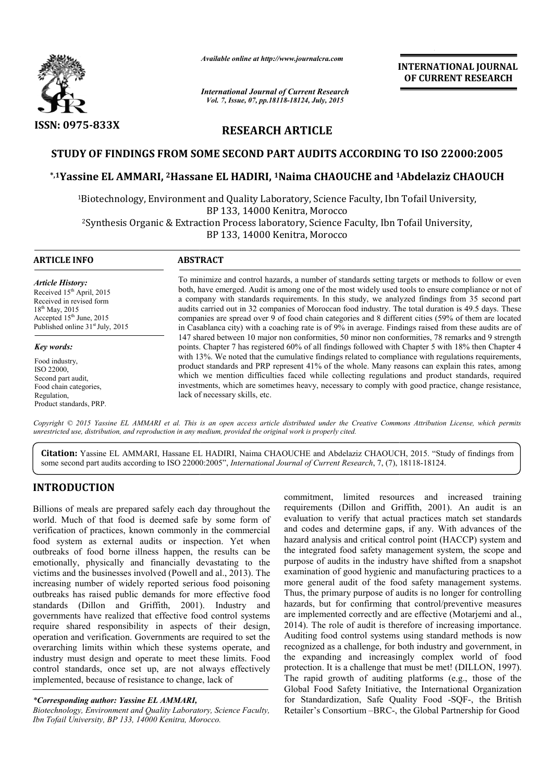

*Available online at http://www.journalcra.com*

*International Journal of Current Research Vol. 7, Issue, 07, pp.18118-18124, July, 2015*

INTERNATIONAL INTERNATIONAL JOURNAL OF CURRENT RESEARCH

# RESEARCH ARTICLE

## STUDY OF FINDINGS FROM SOME SECOND PART AUDITS ACCORDING TO ISO 22000:2005

# STUDY OF FINDINGS FROM SOME SECOND PART AUDITS ACCORDING TO ISO 22000:2005<br>\*,1Yassine EL AMMARI, <sup>2</sup>Hassane EL HADIRI, <sup>1</sup>Naima CHAOUCHE and <sup>1</sup>Abdelaziz CHAOUCH

1Biotechnology, Environment and Quality Laboratory, Science Faculty, Ibn Tofail University, Biotechnology, BP 133, 14000 Kenitra, Morocco Biotechnology, <sup>2</sup>Synthesis Organic & Extraction Process laboratory, Science Faculty, Ibn Tofail University,

BP 133, 14000 Kenitra, Morocco

| <b>ARTICLE INFO</b>                          | <b>ABSTRACT</b>                                                                                                                                                                                            |
|----------------------------------------------|------------------------------------------------------------------------------------------------------------------------------------------------------------------------------------------------------------|
| <b>Article History:</b>                      | To minimize and control hazards, a number of standards setting targets or methods to follow or even                                                                                                        |
| Received 15 <sup>th</sup> April, 2015        | both, have emerged. Audit is among one of the most widely used tools to ensure compliance or not of                                                                                                        |
| Received in revised form                     | a company with standards requirements. In this study, we analyzed findings from 35 second part                                                                                                             |
| $18^{th}$ May, 2015                          | audits carried out in 32 companies of Moroccan food industry. The total duration is 49.5 days. These                                                                                                       |
| Accepted 15 <sup>th</sup> June, 2015         | companies are spread over 9 of food chain categories and 8 different cities (59% of them are located                                                                                                       |
| Published online 31 <sup>st</sup> July, 2015 | in Casablanca city) with a coaching rate is of 9% in average. Findings raised from these audits are of                                                                                                     |
| <b>Key words:</b>                            | 147 shared between 10 major non conformities, 50 minor non conformities, 78 remarks and 9 strength<br>points. Chapter 7 has registered 60% of all findings followed with Chapter 5 with 18% then Chapter 4 |
| Food industry.                               | with 13%. We noted that the cumulative findings related to compliance with regulations requirements,                                                                                                       |
| ISO 22000,                                   | product standards and PRP represent 41% of the whole. Many reasons can explain this rates, among                                                                                                           |
| Second part audit,                           | which we mention difficulties faced while collecting regulations and product standards, required                                                                                                           |
| Food chain categories,                       | investments, which are sometimes heavy, necessary to comply with good practice, change resistance,                                                                                                         |
| Regulation,                                  | lack of necessary skills, etc.                                                                                                                                                                             |

Copyright © 2015 Yassine EL AMMARI et al. This is an open access article distributed under the Creative Commons Attribution License, which permits *unrestricted use, distribution, and reproduction in any medium, provided the original work is properly cited.*

Citation: Yassine EL AMMARI, Hassane EL HADIRI, Naima CHAOUCHE and Abdelaziz CHAOUCH, 2015. "Study of findings from some second part audits according to ISO 22000:2005", International Journal of Current Research, 7, (7), 18118-18124.

# INTRODUCTION

Product standards, PRP.

Billions of meals are prepared safely each day throughout the world. Much of that food is deemed safe by some form of verification of practices, known commonly in the commercial food system as external audits or inspection. Yet when outbreaks of food borne illness happen, the results can be emotionally, physically and financially devastating to the victims and the businesses involved (Powell and al., 2013). The increasing number of widely reported serious food poisoning outbreaks has raised public demands for more effective food standards (Dillon and Griffith, 2001). Industry and governments have realized that effective food control systems require shared responsibility in aspects of their design, operation and verification. Governments are required to set the overarching limits within which these systems operate, and industry must design and operate to meet these limits. Food control standards, once set up, are not always effectively implemented, because of resistance to change, lack of

#### *\*Corresponding author: Yassine EL AMMARI,*

*Biotechnology, Environment and Quality Laboratory, Science Faculty, Ibn Tofail University, BP 133, 14000 Kenitra, Morocco.*

commitment, limited resources and increased training<br>
Much of that food is deemed safely each day throughout the requirements (Dillon and Griffith, 2001). An audit<br>
is an and codes and determine gaps, if any. With advances commitment, limited resources and increased training requirements (Dillon and Griffith, 2001). An audit is an evaluation to verify that actual practices match set standards and codes and determine gaps, if any. With advances of the hazard analysis and critical control point (HACCP) system and the integrated food safety management system, the scope and purpose of audits in the industry have shifted from a snapshot examination of good hygienic and manufacturing practices to a more general audit of the food safety management systems. Thus, the primary purpose of audits is no longer for controlling hazards, but for confirming that control/preventive measures are implemented correctly and are effective (Motarjemi and al., 2014). The role of audit is therefore of increasing importance. 2014). The role of audit is therefore of increasing importance.<br>Auditing food control systems using standard methods is now recognized as a challenge, for both industry and government, in the expanding and increasingly complex world of food protection. It is a challenge that must be met! (DILLON, 1997). The rapid growth of auditing platforms (e.g., those of the Global Food Safety Initiative, the International Organization Global Food Safety Initiative, the International Organization<br>for Standardization, Safe Quality Food -SQF-, the British Retailer's Consortium –BRC-, the Global Partnership for Good erify that actual practices match set standards determine gaps, if any. With advances of the and critical control point (HACCP) system and ood safety management system, the scope and ts in the industry have shifted from a as a challenge, for both industry and government, in<br>ling and increasingly complex world of food<br>It is a challenge that must be met! (DILLON, 1997). **INTERNATIONAL JOURNAL**<br> **OF CURRENT RESEARCH**<br> **OF CURRENT RESEARCH**<br> **OF CURRENT RESEARCH**<br> **CG TO ISO 22000:2005**<br> **4 Abdelaziz CHAOUCH**<br>
n Tofail University,<br>
Tofail University,<br>
Tofail University,<br>
Tofail University,<br>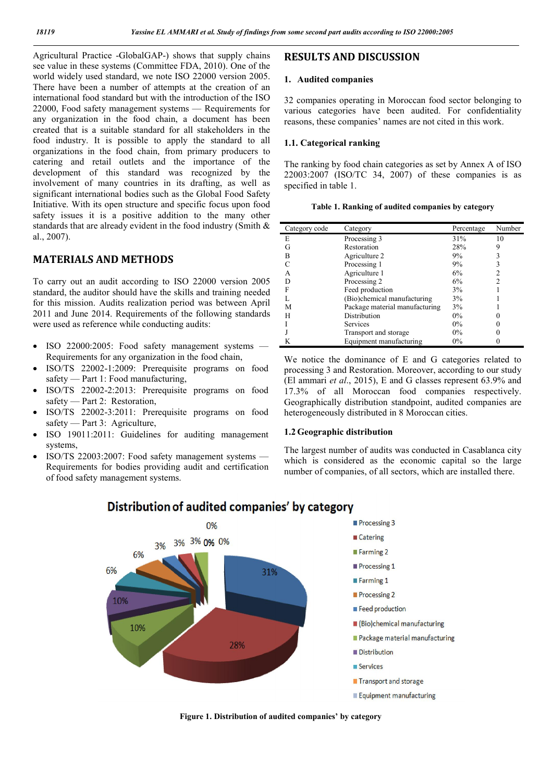Agricultural Practice -GlobalGAP-) shows that supply chains see value in these systems (Committee FDA, 2010). One of the world widely used standard, we note ISO 22000 version 2005. There have been a number of attempts at the creation of an international food standard but with the introduction of the ISO 22000, Food safety management systems — Requirements for any organization in the food chain, a document has been created that is a suitable standard for all stakeholders in the food industry. It is possible to apply the standard to all organizations in the food chain, from primary producers to catering and retail outlets and the importance of the development of this standard was recognized by the involvement of many countries in its drafting, as well as significant international bodies such as the Global Food Safety Initiative. With its open structure and specific focus upon food safety issues it is a positive addition to the many other standards that are already evident in the food industry (Smith & al., 2007).

## MATERIALS AND METHODS

To carry out an audit according to ISO 22000 version 2005 standard, the auditor should have the skills and training needed for this mission. Audits realization period was between April 2011 and June 2014. Requirements of the following standards were used as reference while conducting audits:

- ISO 22000:2005: Food safety management systems Requirements for any organization in the food chain,
- ISO/TS 22002-1:2009: Prerequisite programs on food safety — Part 1: Food manufacturing,
- ISO/TS 22002-2:2013: Prerequisite programs on food safety — Part 2: Restoration,
- ISO/TS 22002-3:2011: Prerequisite programs on food safety — Part 3: Agriculture,
- ISO 19011:2011: Guidelines for auditing management systems,
- ISO/TS 22003:2007: Food safety management systems Requirements for bodies providing audit and certification of food safety management systems.

## RESULTS AND DISCUSSION

#### 1. Audited companies

32 companies operating in Moroccan food sector belonging to various categories have been audited. For confidentiality reasons, these companies' names are not cited in this work.

#### 1.1. Categorical ranking

The ranking by food chain categories as set by Annex A of ISO 22003:2007 (ISO/TC 34, 2007) of these companies is as specified in table 1.

|  | Table 1. Ranking of audited companies by category |  |  |
|--|---------------------------------------------------|--|--|
|  |                                                   |  |  |

| Category code | Category                       | Percentage | Number |
|---------------|--------------------------------|------------|--------|
| E             | Processing 3                   | 31%        | 10     |
| G             | Restoration                    | 28%        | 9      |
| в             | Agriculture 2                  | 9%         |        |
|               | Processing 1                   | 9%         |        |
|               | Agriculture 1                  | 6%         |        |
|               | Processing 2                   | 6%         |        |
| F             | Feed production                | 3%         |        |
|               | (Bio)chemical manufacturing    | 3%         |        |
| м             | Package material manufacturing | 3%         |        |
| Н             | Distribution                   | $0\%$      |        |
|               | Services                       | $0\%$      |        |
|               | Transport and storage          | $0\%$      |        |
|               | Equipment manufacturing        | $0\%$      |        |

We notice the dominance of E and G categories related to processing 3 and Restoration. Moreover, according to our study (El ammari *et al*., 2015), E and G classes represent 63.9% and 17.3% of all Moroccan food companies respectively. Geographically distribution standpoint, audited companies are heterogeneously distributed in 8 Moroccan cities.

#### 1.2 Geographic distribution

The largest number of audits was conducted in Casablanca city which is considered as the economic capital so the large number of companies, of all sectors, which are installed there.



## Distribution of audited companies' by category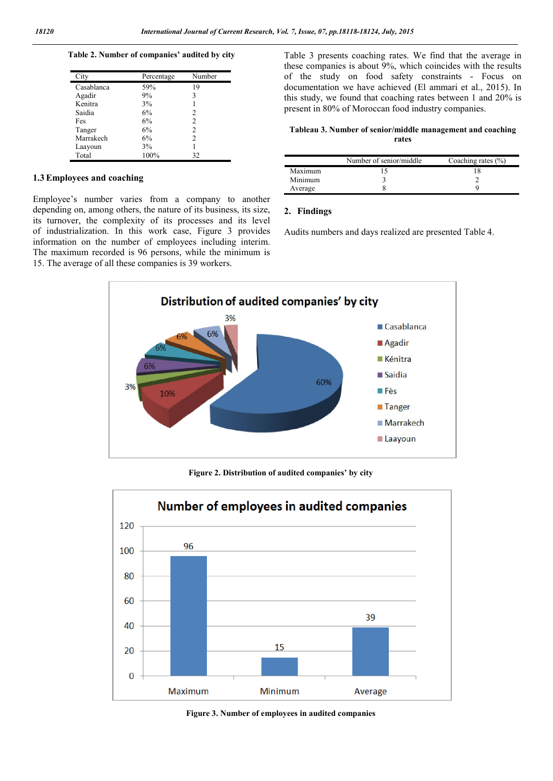Table 2. Number of companies' audited by city

| City       | Percentage | Number         |
|------------|------------|----------------|
| Casablanca | 59%        | 19             |
| Agadir     | 9%         | 3              |
| Kenitra    | 3%         |                |
| Saidia     | 6%         | 2              |
| Fes        | 6%         | 2              |
| Tanger     | 6%         | 2              |
| Marrakech  | 6%         | $\mathfrak{D}$ |
| Laayoun    | 3%         |                |
| Total      | 100%       | 32             |

## 1.3Employees and coaching

Employee's number varies from a company to another depending on, among others, the nature of its business, its size, its turnover, the complexity of its processes and its level of industrialization. In this work case, Figure 3 provides information on the number of employees including interim. The maximum recorded is 96 persons, while the minimum is 15. The average of all these companies is 39 workers.

Table 3 presents coaching rates. We find that the average in these companies is about 9%, which coincides with the results of the study on food safety constraints - Focus on documentation we have achieved (El ammari et al., 2015). In this study, we found that coaching rates between 1 and 20% is present in 80% of Moroccan food industry companies.

### Tableau 3. Number of senior/middle management and coaching rates

|         | Number of senior/middle | Coaching rates $(\% )$ |
|---------|-------------------------|------------------------|
| Maximum |                         |                        |
| Minimum |                         |                        |
| Average |                         |                        |

## 2. Findings

Audits numbers and days realized are presented Table 4.



Figure 2. Distribution of audited companies' by city



Figure 3. Number of employees in audited companies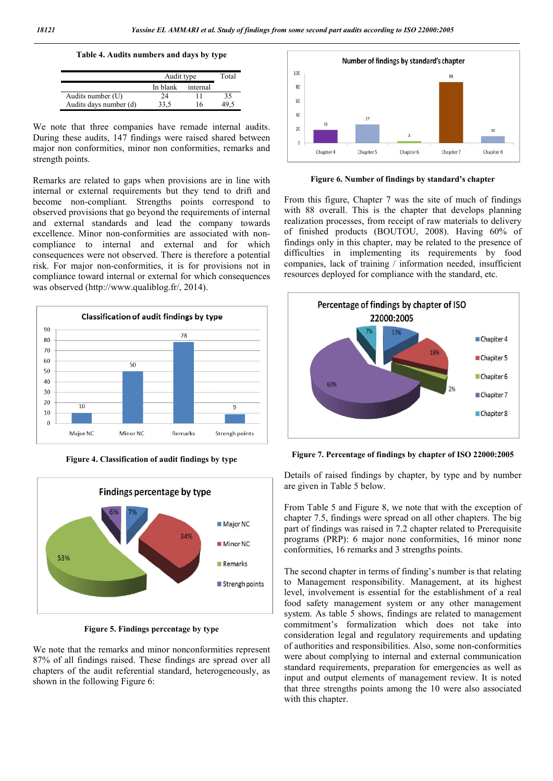Table 4. Audits numbers and days by type

|                        | Audit type | Total    |    |
|------------------------|------------|----------|----|
|                        | In blank   | internal |    |
| Audits number (U)      | 24         |          | 35 |
| Audits days number (d) | 33.5       | 16       |    |

We note that three companies have remade internal audits. During these audits, 147 findings were raised shared between major non conformities, minor non conformities, remarks and strength points.

Remarks are related to gaps when provisions are in line with internal or external requirements but they tend to drift and become non-compliant. Strengths points correspond to observed provisions that go beyond the requirements of internal and external standards and lead the company towards excellence. Minor non-conformities are associated with noncompliance to internal and external and for which consequences were not observed. There is therefore a potential risk. For major non-conformities, it is for provisions not in compliance toward internal or external for which consequences was observed (http://www.qualiblog.fr/, 2014).



Figure 4. Classification of audit findings by type



Figure 5. Findings percentage by type

We note that the remarks and minor nonconformities represent 87% of all findings raised. These findings are spread over all chapters of the audit referential standard, heterogeneously, as shown in the following Figure 6:



Figure 6. Number of findings by standard's chapter

From this figure, Chapter 7 was the site of much of findings with 88 overall. This is the chapter that develops planning realization processes, from receipt of raw materials to delivery of finished products (BOUTOU, 2008). Having 60% of findings only in this chapter, may be related to the presence of difficulties in implementing its requirements by food companies, lack of training / information needed, insufficient resources deployed for compliance with the standard, etc.



Figure 7. Percentage of findings by chapter of ISO 22000:2005

Details of raised findings by chapter, by type and by number are given in Table 5 below.

From Table 5 and Figure 8, we note that with the exception of chapter 7.5, findings were spread on all other chapters. The big part of findings was raised in 7.2 chapter related to Prerequisite programs (PRP): 6 major none conformities, 16 minor none conformities, 16 remarks and 3 strengths points.

The second chapter in terms of finding's number is that relating to Management responsibility. Management, at its highest level, involvement is essential for the establishment of a real food safety management system or any other management system. As table 5 shows, findings are related to management commitment's formalization which does not take into consideration legal and regulatory requirements and updating of authorities and responsibilities. Also, some non-conformities were about complying to internal and external communication standard requirements, preparation for emergencies as well as input and output elements of management review. It is noted that three strengths points among the 10 were also associated with this chapter.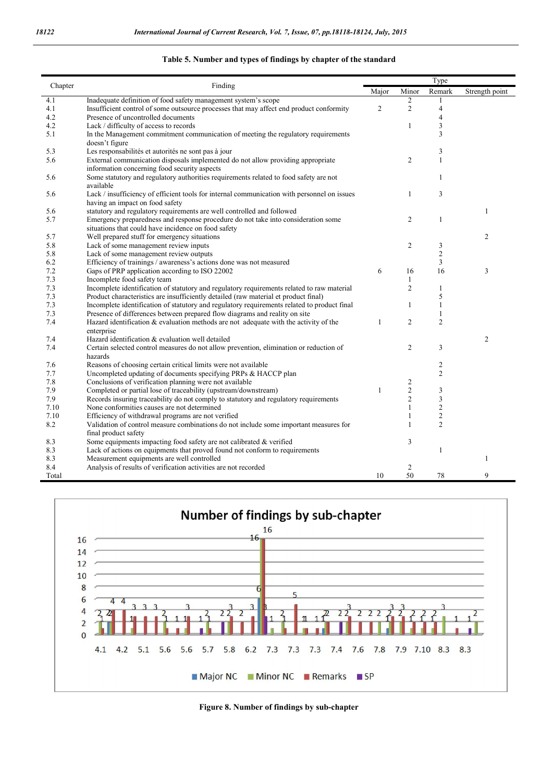l.

|         |                                                                                                                                          |                | Type           |                |                |  |
|---------|------------------------------------------------------------------------------------------------------------------------------------------|----------------|----------------|----------------|----------------|--|
| Chapter | Finding                                                                                                                                  | Major          | Minor          | Remark         | Strength point |  |
| 4.1     | Inadequate definition of food safety management system's scope                                                                           |                | $\overline{c}$ |                |                |  |
| 4.1     | Insufficient control of some outsource processes that may affect end product conformity                                                  | $\overline{2}$ | $\overline{c}$ | $\overline{4}$ |                |  |
| 4.2     | Presence of uncontrolled documents                                                                                                       |                |                | $\overline{4}$ |                |  |
| 4.2     | Lack / difficulty of access to records                                                                                                   |                | $\mathbf{1}$   | 3              |                |  |
| 5.1     | In the Management commitment communication of meeting the regulatory requirements<br>doesn't figure                                      |                |                | 3              |                |  |
| 5.3     | Les responsabilités et autorités ne sont pas à jour                                                                                      |                |                | 3              |                |  |
| 5.6     | External communication disposals implemented do not allow providing appropriate<br>information concerning food security aspects          |                | $\overline{2}$ | $\mathbf{1}$   |                |  |
| 5.6     | Some statutory and regulatory authorities requirements related to food safety are not<br>available                                       |                |                | $\mathbf{1}$   |                |  |
| 5.6     | Lack / insufficiency of efficient tools for internal communication with personnel on issues<br>having an impact on food safety           |                | 1              | 3              |                |  |
| 5.6     | statutory and regulatory requirements are well controlled and followed                                                                   |                |                |                | 1              |  |
| 5.7     | Emergency preparedness and response procedure do not take into consideration some<br>situations that could have incidence on food safety |                | $\overline{2}$ | 1              |                |  |
| 5.7     | Well prepared stuff for emergency situations                                                                                             |                |                |                | $\overline{2}$ |  |
| 5.8     | Lack of some management review inputs                                                                                                    |                | 2              | 3              |                |  |
| 5.8     | Lack of some management review outputs                                                                                                   |                |                | $\overline{c}$ |                |  |
| 6.2     | Efficiency of trainings / awareness's actions done was not measured                                                                      |                |                | 3              |                |  |
| 7.2     | Gaps of PRP application according to ISO 22002                                                                                           | 6              | 16             | 16             | 3              |  |
| 7.3     | Incomplete food safety team                                                                                                              |                | $\mathbf{1}$   |                |                |  |
| 7.3     | Incomplete identification of statutory and regulatory requirements related to raw material                                               |                | $\overline{c}$ | $\mathbf{1}$   |                |  |
| 7.3     | Product characteristics are insufficiently detailed (raw material et product final)                                                      |                |                | 5              |                |  |
| 7.3     | Incomplete identification of statutory and regulatory requirements related to product final                                              |                | $\mathbf{1}$   | $\mathbf{1}$   |                |  |
| 7.3     | Presence of differences between prepared flow diagrams and reality on site                                                               |                |                | 1              |                |  |
| 7.4     | Hazard identification $\&$ evaluation methods are not adequate with the activity of the<br>enterprise                                    | $\mathbf{1}$   | $\overline{c}$ | $\overline{2}$ |                |  |
| 7.4     | Hazard identification & evaluation well detailed                                                                                         |                |                |                | $\overline{2}$ |  |
| 7.4     | Certain selected control measures do not allow prevention, elimination or reduction of<br>hazards                                        |                | $\overline{c}$ | 3              |                |  |
| 7.6     | Reasons of choosing certain critical limits were not available                                                                           |                |                | 2              |                |  |
| 7.7     | Uncompleted updating of documents specifying PRPs & HACCP plan                                                                           |                |                | $\overline{2}$ |                |  |
| 7.8     | Conclusions of verification planning were not available                                                                                  |                | $\overline{c}$ |                |                |  |
| 7.9     | Completed or partial lose of traceability (upstream/downstream)                                                                          | $\mathbf{1}$   | $\overline{c}$ | 3              |                |  |
| 7.9     | Records insuring traceability do not comply to statutory and regulatory requirements                                                     |                | $\overline{2}$ | 3              |                |  |
| 7.10    | None conformities causes are not determined                                                                                              |                | $\mathbf{1}$   | $\overline{2}$ |                |  |
| 7.10    | Efficiency of withdrawal programs are not verified                                                                                       |                | $\mathbf{1}$   | $\sqrt{2}$     |                |  |
| 8.2     | Validation of control measure combinations do not include some important measures for<br>final product safety                            |                | $\mathbf{1}$   | $\overline{c}$ |                |  |
| 8.3     | Some equipments impacting food safety are not calibrated & verified                                                                      |                | 3              |                |                |  |
| 8.3     | Lack of actions on equipments that proved found not conform to requirements                                                              |                |                | 1              |                |  |
| 8.3     | Measurement equipments are well controlled                                                                                               |                |                |                | 1              |  |
| 8.4     | Analysis of results of verification activities are not recorded                                                                          |                | $\overline{c}$ |                |                |  |
| Total   |                                                                                                                                          | 10             | 50             | 78             | 9              |  |





Figure 8. Number of findings by sub-chapter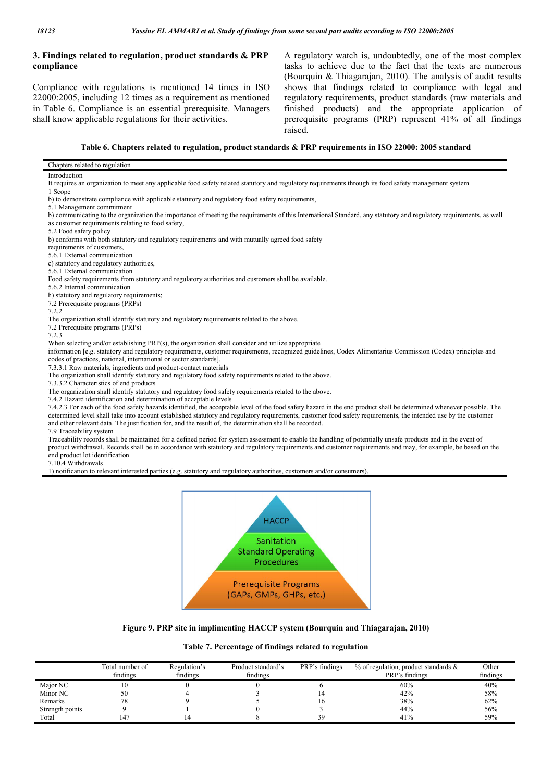## 3. Findings related to regulation, product standards & PRP compliance

Compliance with regulations is mentioned 14 times in ISO 22000:2005, including 12 times as a requirement as mentioned in Table 6. Compliance is an essential prerequisite. Managers shall know applicable regulations for their activities.

A regulatory watch is, undoubtedly, one of the most complex tasks to achieve due to the fact that the texts are numerous (Bourquin & Thiagarajan, 2010). The analysis of audit results shows that findings related to compliance with legal and regulatory requirements, product standards (raw materials and finished products) and the appropriate application of prerequisite programs (PRP) represent 41% of all findings raised.

#### Table 6. Chapters related to regulation, product standards & PRP requirements in ISO 22000: 2005 standard

#### Chapters related to regulation Introduction It requires an organization to meet any applicable food safety related statutory and regulatory requirements through its food safety management system. 1 Scope b) to demonstrate compliance with applicable statutory and regulatory food safety requirements, 5.1 Management commitment b) communicating to the organization the importance of meeting the requirements of this International Standard, any statutory and regulatory requirements, as well as customer requirements relating to food safety, 5.2 Food safety policy b) conforms with both statutory and regulatory requirements and with mutually agreed food safety requirements of customers, 5.6.1 External communication c) statutory and regulatory authorities, 5.6.1 External communication Food safety requirements from statutory and regulatory authorities and customers shall be available. 5.6.2 Internal communication h) statutory and regulatory requirements; 7.2 Prerequisite programs (PRPs) 722 The organization shall identify statutory and regulatory requirements related to the above. 7.2 Prerequisite programs (PRPs) 7.2.3 When selecting and/or establishing PRP(s), the organization shall consider and utilize appropriate information [e.g. statutory and regulatory requirements, customer requirements, recognized guidelines, Codex Alimentarius Commission (Codex) principles and codes of practices, national, international or sector standards]. 7.3.3.1 Raw materials, ingredients and product-contact materials The organization shall identify statutory and regulatory food safety requirements related to the above. 7.3.3.2 Characteristics of end products The organization shall identify statutory and regulatory food safety requirements related to the above. 7.4.2 Hazard identification and determination of acceptable levels 7.4.2.3 For each of the food safety hazards identified, the acceptable level of the food safety hazard in the end product shall be determined whenever possible. The determined level shall take into account established statutory and regulatory requirements, customer food safety requirements, the intended use by the customer and other relevant data. The justification for, and the result of, the determination shall be recorded. 7.9 Traceability system

Traceability records shall be maintained for a defined period for system assessment to enable the handling of potentially unsafe products and in the event of product withdrawal. Records shall be in accordance with statutory and regulatory requirements and customer requirements and may, for example, be based on the end product lot identification.

7.10.4 Withdrawals

1) notification to relevant interested parties (e.g. statutory and regulatory authorities, customers and/or consumers),



#### Figure 9. PRP site in implimenting HACCP system (Bourquin and Thiagarajan, 2010)

#### Table 7. Percentage of findings related to regulation

|                 | Total number of<br>findings | Regulation's<br>findings | Product standard's<br>findings | PRP's findings | $%$ of regulation, product standards $&$<br>PRP's findings | Other<br>findings |
|-----------------|-----------------------------|--------------------------|--------------------------------|----------------|------------------------------------------------------------|-------------------|
| Major NC        | $\sim 0$                    |                          |                                |                | 60%                                                        | 40%               |
| Minor NC        | 50                          |                          |                                | 14             | 42%                                                        | 58%               |
| Remarks         | 78                          |                          |                                | 10             | 38%                                                        | 62%               |
| Strength points |                             |                          |                                |                | 44%                                                        | 56%               |
| Total           | 147                         |                          |                                | 39             | 41%                                                        | 59%               |